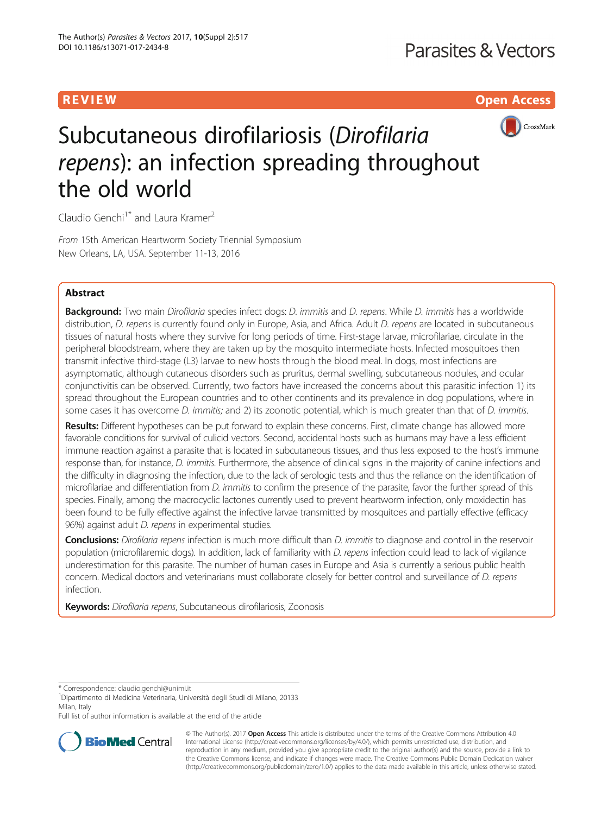**REVIEW ACCESS AND LOCAL CONTRACT CONTRACT OF ACCESS** 



# Subcutaneous dirofilariosis (Dirofilaria repens): an infection spreading throughout the old world

Claudio Genchi<sup>1\*</sup> and Laura Kramer<sup>2</sup>

From 15th American Heartworm Society Triennial Symposium New Orleans, LA, USA. September 11-13, 2016

# Abstract

Background: Two main Dirofilaria species infect dogs: D. immitis and D. repens. While D. immitis has a worldwide distribution, D. repens is currently found only in Europe, Asia, and Africa. Adult D. repens are located in subcutaneous tissues of natural hosts where they survive for long periods of time. First-stage larvae, microfilariae, circulate in the peripheral bloodstream, where they are taken up by the mosquito intermediate hosts. Infected mosquitoes then transmit infective third-stage (L3) larvae to new hosts through the blood meal. In dogs, most infections are asymptomatic, although cutaneous disorders such as pruritus, dermal swelling, subcutaneous nodules, and ocular conjunctivitis can be observed. Currently, two factors have increased the concerns about this parasitic infection 1) its spread throughout the European countries and to other continents and its prevalence in dog populations, where in some cases it has overcome D. immitis; and 2) its zoonotic potential, which is much greater than that of D. immitis.

Results: Different hypotheses can be put forward to explain these concerns. First, climate change has allowed more favorable conditions for survival of culicid vectors. Second, accidental hosts such as humans may have a less efficient immune reaction against a parasite that is located in subcutaneous tissues, and thus less exposed to the host's immune response than, for instance, D. immitis. Furthermore, the absence of clinical signs in the majority of canine infections and the difficulty in diagnosing the infection, due to the lack of serologic tests and thus the reliance on the identification of microfilariae and differentiation from D. immitis to confirm the presence of the parasite, favor the further spread of this species. Finally, among the macrocyclic lactones currently used to prevent heartworm infection, only moxidectin has been found to be fully effective against the infective larvae transmitted by mosquitoes and partially effective (efficacy 96%) against adult D. repens in experimental studies.

Conclusions: Dirofilaria repens infection is much more difficult than D. immitis to diagnose and control in the reservoir population (microfilaremic dogs). In addition, lack of familiarity with D. repens infection could lead to lack of vigilance underestimation for this parasite. The number of human cases in Europe and Asia is currently a serious public health concern. Medical doctors and veterinarians must collaborate closely for better control and surveillance of D. repens infection.

Keywords: Dirofilaria repens, Subcutaneous dirofilariosis, Zoonosis

\* Correspondence: [claudio.genchi@unimi.it](mailto:claudio.genchi@unimi.it) <sup>1</sup>

Dipartimento di Medicina Veterinaria, Università degli Studi di Milano, 20133 Milan, Italy

Full list of author information is available at the end of the article



© The Author(s). 2017 **Open Access** This article is distributed under the terms of the Creative Commons Attribution 4.0 International License [\(http://creativecommons.org/licenses/by/4.0/](http://creativecommons.org/licenses/by/4.0/)), which permits unrestricted use, distribution, and reproduction in any medium, provided you give appropriate credit to the original author(s) and the source, provide a link to the Creative Commons license, and indicate if changes were made. The Creative Commons Public Domain Dedication waiver [\(http://creativecommons.org/publicdomain/zero/1.0/](http://creativecommons.org/publicdomain/zero/1.0/)) applies to the data made available in this article, unless otherwise stated.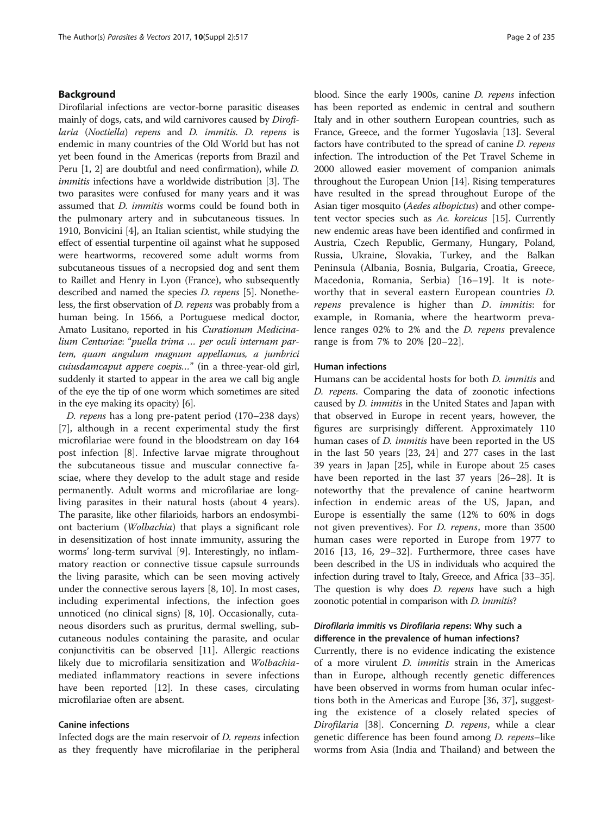## Background

Dirofilarial infections are vector-borne parasitic diseases mainly of dogs, cats, and wild carnivores caused by Dirofilaria (Noctiella) repens and D. immitis. D. repens is endemic in many countries of the Old World but has not yet been found in the Americas (reports from Brazil and Peru [[1, 2\]](#page-3-0) are doubtful and need confirmation), while D. immitis infections have a worldwide distribution [\[3\]](#page-3-0). The two parasites were confused for many years and it was assumed that D. immitis worms could be found both in the pulmonary artery and in subcutaneous tissues. In 1910, Bonvicini [[4\]](#page-3-0), an Italian scientist, while studying the effect of essential turpentine oil against what he supposed were heartworms, recovered some adult worms from subcutaneous tissues of a necropsied dog and sent them to Raillet and Henry in Lyon (France), who subsequently described and named the species D. repens [[5\]](#page-3-0). Nonetheless, the first observation of D. repens was probably from a human being. In 1566, a Portuguese medical doctor, Amato Lusitano, reported in his Curationum Medicinalium Centuriae: "puella trima … per oculi internam partem, quam angulum magnum appellamus, a jumbrici cuiusdamcaput appere coepis…" (in a three-year-old girl, suddenly it started to appear in the area we call big angle of the eye the tip of one worm which sometimes are sited in the eye making its opacity) [[6](#page-3-0)].

D. repens has a long pre-patent period (170–238 days) [[7\]](#page-3-0), although in a recent experimental study the first microfilariae were found in the bloodstream on day 164 post infection [\[8](#page-3-0)]. Infective larvae migrate throughout the subcutaneous tissue and muscular connective fasciae, where they develop to the adult stage and reside permanently. Adult worms and microfilariae are longliving parasites in their natural hosts (about 4 years). The parasite, like other filarioids, harbors an endosymbiont bacterium (Wolbachia) that plays a significant role in desensitization of host innate immunity, assuring the worms' long-term survival [[9](#page-3-0)]. Interestingly, no inflammatory reaction or connective tissue capsule surrounds the living parasite, which can be seen moving actively under the connective serous layers [[8](#page-3-0), [10](#page-3-0)]. In most cases, including experimental infections, the infection goes unnoticed (no clinical signs) [\[8](#page-3-0), [10\]](#page-3-0). Occasionally, cutaneous disorders such as pruritus, dermal swelling, subcutaneous nodules containing the parasite, and ocular conjunctivitis can be observed [\[11\]](#page-3-0). Allergic reactions likely due to microfilaria sensitization and Wolbachiamediated inflammatory reactions in severe infections have been reported [[12](#page-3-0)]. In these cases, circulating microfilariae often are absent.

### Canine infections

Infected dogs are the main reservoir of D. repens infection as they frequently have microfilariae in the peripheral blood. Since the early 1900s, canine D. repens infection has been reported as endemic in central and southern Italy and in other southern European countries, such as France, Greece, and the former Yugoslavia [[13](#page-3-0)]. Several factors have contributed to the spread of canine D. repens infection. The introduction of the Pet Travel Scheme in 2000 allowed easier movement of companion animals throughout the European Union [[14](#page-3-0)]. Rising temperatures have resulted in the spread throughout Europe of the Asian tiger mosquito (Aedes albopictus) and other competent vector species such as Ae. koreicus [[15](#page-3-0)]. Currently new endemic areas have been identified and confirmed in Austria, Czech Republic, Germany, Hungary, Poland, Russia, Ukraine, Slovakia, Turkey, and the Balkan Peninsula (Albania, Bosnia, Bulgaria, Croatia, Greece, Macedonia, Romania, Serbia) [[16](#page-3-0)–[19](#page-4-0)]. It is noteworthy that in several eastern European countries D. repens prevalence is higher than D. immitis: for example, in Romania, where the heartworm prevalence ranges 02% to 2% and the D. repens prevalence range is from 7% to 20% [[20](#page-4-0)–[22\]](#page-4-0).

#### Human infections

Humans can be accidental hosts for both D. immitis and D. repens. Comparing the data of zoonotic infections caused by D. immitis in the United States and Japan with that observed in Europe in recent years, however, the figures are surprisingly different. Approximately 110 human cases of *D. immitis* have been reported in the US in the last 50 years [\[23, 24](#page-4-0)] and 277 cases in the last 39 years in Japan [[25](#page-4-0)], while in Europe about 25 cases have been reported in the last 37 years [\[26](#page-4-0)–[28\]](#page-4-0). It is noteworthy that the prevalence of canine heartworm infection in endemic areas of the US, Japan, and Europe is essentially the same (12% to 60% in dogs not given preventives). For D. repens, more than 3500 human cases were reported in Europe from 1977 to 2016 [\[13](#page-3-0), [16,](#page-3-0) [29](#page-4-0)–[32\]](#page-4-0). Furthermore, three cases have been described in the US in individuals who acquired the infection during travel to Italy, Greece, and Africa [\[33](#page-4-0)–[35](#page-4-0)]. The question is why does *D. repens* have such a high zoonotic potential in comparison with D. immitis?

# Dirofilaria immitis vs Dirofilaria repens: Why such a difference in the prevalence of human infections?

Currently, there is no evidence indicating the existence of a more virulent *D. immitis* strain in the Americas than in Europe, although recently genetic differences have been observed in worms from human ocular infections both in the Americas and Europe [[36, 37\]](#page-4-0), suggesting the existence of a closely related species of Dirofilaria [\[38\]](#page-4-0). Concerning D. repens, while a clear genetic difference has been found among D. repens–like worms from Asia (India and Thailand) and between the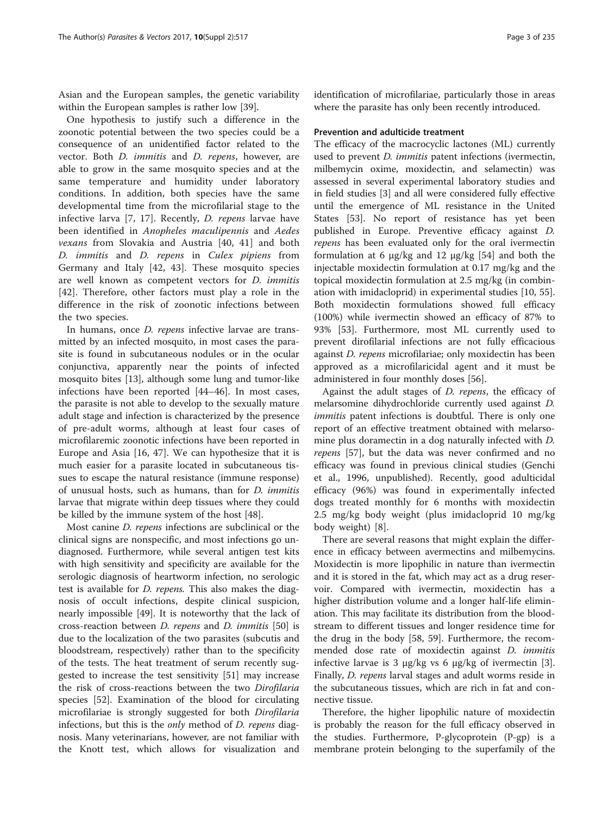Asian and the European samples, the genetic variability within the European samples is rather low [\[39\]](#page-4-0).

One hypothesis to justify such a difference in the zoonotic potential between the two species could be a consequence of an unidentified factor related to the vector. Both D. immitis and D. repens, however, are able to grow in the same mosquito species and at the same temperature and humidity under laboratory conditions. In addition, both species have the same developmental time from the microfilarial stage to the infective larva [\[7](#page-3-0), [17\]](#page-3-0). Recently, D. repens larvae have been identified in Anopheles maculipennis and Aedes vexans from Slovakia and Austria [[40, 41](#page-4-0)] and both D. immitis and D. repens in Culex pipiens from Germany and Italy [[42](#page-4-0), [43\]](#page-4-0). These mosquito species are well known as competent vectors for D. immitis [[42\]](#page-4-0). Therefore, other factors must play a role in the difference in the risk of zoonotic infections between the two species.

In humans, once D. repens infective larvae are transmitted by an infected mosquito, in most cases the parasite is found in subcutaneous nodules or in the ocular conjunctiva, apparently near the points of infected mosquito bites [\[13](#page-3-0)], although some lung and tumor-like infections have been reported [\[44](#page-4-0)–[46\]](#page-4-0). In most cases, the parasite is not able to develop to the sexually mature adult stage and infection is characterized by the presence of pre-adult worms, although at least four cases of microfilaremic zoonotic infections have been reported in Europe and Asia [[16,](#page-3-0) [47](#page-4-0)]. We can hypothesize that it is much easier for a parasite located in subcutaneous tissues to escape the natural resistance (immune response) of unusual hosts, such as humans, than for D. immitis larvae that migrate within deep tissues where they could be killed by the immune system of the host [\[48](#page-4-0)].

Most canine D. repens infections are subclinical or the clinical signs are nonspecific, and most infections go undiagnosed. Furthermore, while several antigen test kits with high sensitivity and specificity are available for the serologic diagnosis of heartworm infection, no serologic test is available for D. repens. This also makes the diagnosis of occult infections, despite clinical suspicion, nearly impossible [[49\]](#page-4-0). It is noteworthy that the lack of cross-reaction between D. repens and D. immitis [\[50](#page-4-0)] is due to the localization of the two parasites (subcutis and bloodstream, respectively) rather than to the specificity of the tests. The heat treatment of serum recently suggested to increase the test sensitivity [\[51](#page-4-0)] may increase the risk of cross-reactions between the two Dirofilaria species [[52\]](#page-4-0). Examination of the blood for circulating microfilariae is strongly suggested for both Dirofilaria infections, but this is the *only* method of *D. repens* diagnosis. Many veterinarians, however, are not familiar with the Knott test, which allows for visualization and

identification of microfilariae, particularly those in areas where the parasite has only been recently introduced.

#### Prevention and adulticide treatment

The efficacy of the macrocyclic lactones (ML) currently used to prevent *D. immitis* patent infections (ivermectin, milbemycin oxime, moxidectin, and selamectin) was assessed in several experimental laboratory studies and in field studies [\[3](#page-3-0)] and all were considered fully effective until the emergence of ML resistance in the United States [\[53](#page-4-0)]. No report of resistance has yet been published in Europe. Preventive efficacy against D. repens has been evaluated only for the oral ivermectin formulation at 6 μg/kg and 12 μg/kg [\[54](#page-4-0)] and both the injectable moxidectin formulation at 0.17 mg/kg and the topical moxidectin formulation at 2.5 mg/kg (in combination with imidacloprid) in experimental studies [\[10](#page-3-0), [55](#page-4-0)]. Both moxidectin formulations showed full efficacy (100%) while ivermectin showed an efficacy of 87% to 93% [\[53\]](#page-4-0). Furthermore, most ML currently used to prevent dirofilarial infections are not fully efficacious against D. repens microfilariae; only moxidectin has been approved as a microfilaricidal agent and it must be administered in four monthly doses [[56\]](#page-4-0).

Against the adult stages of D. repens, the efficacy of melarsomine dihydrochloride currently used against D. immitis patent infections is doubtful. There is only one report of an effective treatment obtained with melarsomine plus doramectin in a dog naturally infected with D. repens [\[57](#page-4-0)], but the data was never confirmed and no efficacy was found in previous clinical studies (Genchi et al., 1996, unpublished). Recently, good adulticidal efficacy (96%) was found in experimentally infected dogs treated monthly for 6 months with moxidectin 2.5 mg/kg body weight (plus imidacloprid 10 mg/kg body weight) [[8\]](#page-3-0).

There are several reasons that might explain the difference in efficacy between avermectins and milbemycins. Moxidectin is more lipophilic in nature than ivermectin and it is stored in the fat, which may act as a drug reservoir. Compared with ivermectin, moxidectin has a higher distribution volume and a longer half-life elimination. This may facilitate its distribution from the bloodstream to different tissues and longer residence time for the drug in the body [[58](#page-4-0), [59](#page-4-0)]. Furthermore, the recommended dose rate of moxidectin against D. immitis infective larvae is 3 μg/kg vs 6 μg/kg of ivermectin [\[3](#page-3-0)]. Finally, D. repens larval stages and adult worms reside in the subcutaneous tissues, which are rich in fat and connective tissue.

Therefore, the higher lipophilic nature of moxidectin is probably the reason for the full efficacy observed in the studies. Furthermore, P-glycoprotein (P-gp) is a membrane protein belonging to the superfamily of the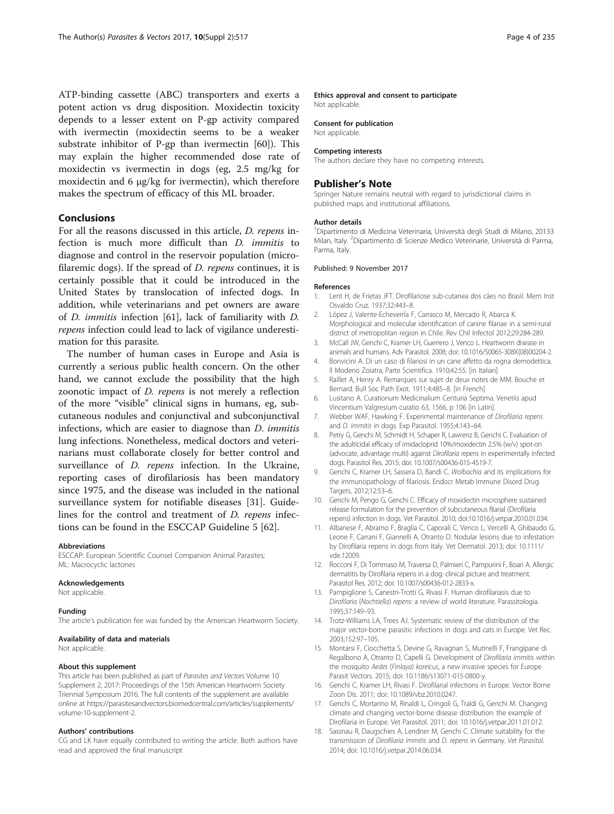<span id="page-3-0"></span>ATP-binding cassette (ABC) transporters and exerts a potent action vs drug disposition. Moxidectin toxicity depends to a lesser extent on P-gp activity compared with ivermectin (moxidectin seems to be a weaker substrate inhibitor of P-gp than ivermectin [\[60](#page-4-0)]). This may explain the higher recommended dose rate of moxidectin vs ivermectin in dogs (eg, 2.5 mg/kg for moxidectin and 6 μg/kg for ivermectin), which therefore makes the spectrum of efficacy of this ML broader.

# Conclusions

For all the reasons discussed in this article, D. repens infection is much more difficult than D. immitis to diagnose and control in the reservoir population (microfilaremic dogs). If the spread of *D. repens* continues, it is certainly possible that it could be introduced in the United States by translocation of infected dogs. In addition, while veterinarians and pet owners are aware of D. immitis infection [\[61\]](#page-5-0), lack of familiarity with D. repens infection could lead to lack of vigilance underestimation for this parasite.

The number of human cases in Europe and Asia is currently a serious public health concern. On the other hand, we cannot exclude the possibility that the high zoonotic impact of D. repens is not merely a reflection of the more "visible" clinical signs in humans, eg, subcutaneous nodules and conjunctival and subconjunctival infections, which are easier to diagnose than D. immitis lung infections. Nonetheless, medical doctors and veterinarians must collaborate closely for better control and surveillance of *D. repens* infection. In the Ukraine, reporting cases of dirofilariosis has been mandatory since 1975, and the disease was included in the national surveillance system for notifiable diseases [\[31\]](#page-4-0). Guidelines for the control and treatment of D. repens infections can be found in the ESCCAP Guideline 5 [\[62\]](#page-5-0).

#### Abbreviations

ESCCAP: European Scientific Counsel Companion Animal Parasites; ML: Macrocyclic lactones

#### Acknowledgements

Not applicable.

#### Funding

The article's publication fee was funded by the American Heartworm Society.

#### Availability of data and materials

Not applicable.

#### About this supplement

This article has been published as part of Parasites and Vectors Volume 10 Supplement 2, 2017: Proceedings of the 15th American Heartworm Society Triennial Symposium 2016. The full contents of the supplement are available online at https://parasitesandvectors.biomedcentral.com/articles/supplements/ volume-10-supplement-2.

#### Authors' contributions

CG and LK have equally contributed to writing the article. Both authors have read and approved the final manuscript

#### Ethics approval and consent to participate Not applicable.

# Consent for publication

Not applicable.

#### Competing interests

The authors declare they have no competing interests.

#### Publisher's Note

Springer Nature remains neutral with regard to jurisdictional claims in published maps and institutional affiliations.

#### Author details

1 Dipartimento di Medicina Veterinaria, Università degli Studi di Milano, 20133 Milan, Italy. <sup>2</sup>Dipartimento di Scienze Medico Veterinarie, Università di Parma, Parma, Italy.

#### Published: 9 November 2017

#### References

- 1. Lent H, de Frietas JFT. Dirofilariose sub-cutanea dos cães no Brasil. Mem Inst Osvaldo Cruz. 1937;32:443–8.
- 2. López J, Valente-EcheverrÍa F, Carrasco M, Mercado R, Abarca K. Morphological and molecular identification of canine filariae in a semi-rural district of metropolitan region in Chile. Rev Chil Infectol 2012;29:284-289.
- 3. McCall JW, Genchi C, Kramer LH, Guerrero J, Venco L. Heartworm disease in animals and humans. Adv Parasitol. 2008; doi: [10.1016/S0065-308X\(08\)00204-2.](http://dx.doi.org/10.1016/S0065-308X(08)00204-2)
- 4. Bonvicini A. Di un caso di filariosi in un cane affetto da rogna demodettica. Il Modeno Zoiatra, Parte Scientifica. 1910;42:55. [in Italian]
- 5. Raillet A, Henry A. Remarques sur sujet de deux notes de MM. Bouche et Bernard. Bull Soc Path Exot. 1911;4:485–8. [in French]
- 6. Lusitano A. Curationum Medicinalium Centuria Septima. Venetiis apud Vincentium Valgresium curatio 63, 1566, p 106 [in Latin].
- 7. Webber WAF, Hawking F. Experimental maintenance of Dirofilaria repens and D. immitis in dogs. Exp Parasitol. 1955;4:143–64.
- 8. Petry G, Genchi M, Schmidt H, Schaper R, Lawrenz B, Genchi C. Evaluation of the adulticidal efficacy of imidacloprid 10%/moxidectin 2.5% (w/v) spot-on (advocate, advantage multi) against Dirofilaria repens in experimentally infected dogs. Parasitol Res. 2015; doi: [10.1007/s00436-015-4519-7.](http://dx.doi.org/10.1007/s00436-015-4519-7.)
- Genchi C, Kramer LH, Sassera D, Bandi C. Wolbachia and its implications for the immunopathology of filariosis. Endocr Metab Immune Disord Drug Targets. 2012;12:53–6.
- 10. Genchi M, Pengo G, Genchi C. Efficacy of moxidectin microsphere sustained release formulation for the prevention of subcutaneous filarial (Dirofilaria repens) infection in dogs. Vet Parasitol. 2010; doi:[10.1016/j.vetpar.2010.01.034.](http://dx.doi.org/10.1016/j.vetpar.2010.01.034.)
- 11. Albanese F, Abramo F, Braglia C, Caporali C, Venco L, Vercelli A, Ghibaudo G, Leone F, Carrani F, Giannelli A, Otranto D. Nodular lesions due to infestation by Dirofilaria repens in dogs from Italy. Vet Dermatol. 2013; doi: [10.1111/](http://dx.doi.org/10.1111/vde.12009.) [vde.12009.](http://dx.doi.org/10.1111/vde.12009.)
- 12. Rocconi F, Di Tommaso M, Traversa D, Palmieri C, Pampurini F, Boari A. Allergic dermatitis by Dirofilaria repens in a dog: clinical picture and treatment. Parasitol Res. 2012; doi: [10.1007/s00436-012-2833-x.](http://dx.doi.org/10.1007/s00436-012-2833-x.)
- 13. Pampiglione S, Canestri-Trotti G, Rivasi F. Human dirofilariasis due to Dirofilaria (Nochtiella) repens: a review of world literature. Parassitologia. 1995;37:149–93.
- 14. Trotz-Williams LA, Trees AJ. Systematic review of the distribution of the major vector-borne parasitic infections in dogs and cats in Europe. Vet Rec. 2003;152:97–105.
- 15. Montarsi F, Ciocchetta S, Devine G, Ravagnan S, Mutinelli F, Frangipane di Regalbono A, Otranto D, Capelli G. Development of Dirofilaria immitis within the mosquito Aedes (Finlaya) koreicus, a new invasive species for Europe Parasit Vectors. 2015; doi: [10.1186/s13071-015-0800-y.](http://dx.doi.org/10.1186/s13071-015-0800-y.)
- 16. Genchi C, Kramer LH, Rivasi F. Dirofilarial infections in Europe. Vector Borne Zoon Dis. 2011; doi: [10.1089/vbz.2010.0247](http://dx.doi.org/10.1089/vbz.2010.0247).
- 17. Genchi C, Mortarino M, Rinaldi L, Cringoli G, Traldi G, Genchi M. Changing climate and changing vector-borne disease distribution: the example of Dirofilaria in Europe. Vet Parasitol. 2011; doi: [10.1016/j.vetpar.2011.01.012.](http://dx.doi.org/10.1016/j.vetpar.2011.01.012.)
- 18. Sassnau R, Daugschies A, Lendner M, Genchi C. Climate suitability for the transmission of Dirofilaria immitis and D. repens in Germany. Vet Parasitol. 2014; doi: [10.1016/j.vetpar.2014.06.034.](http://dx.doi.org/10.1016/j.vetpar.2014.06.034.)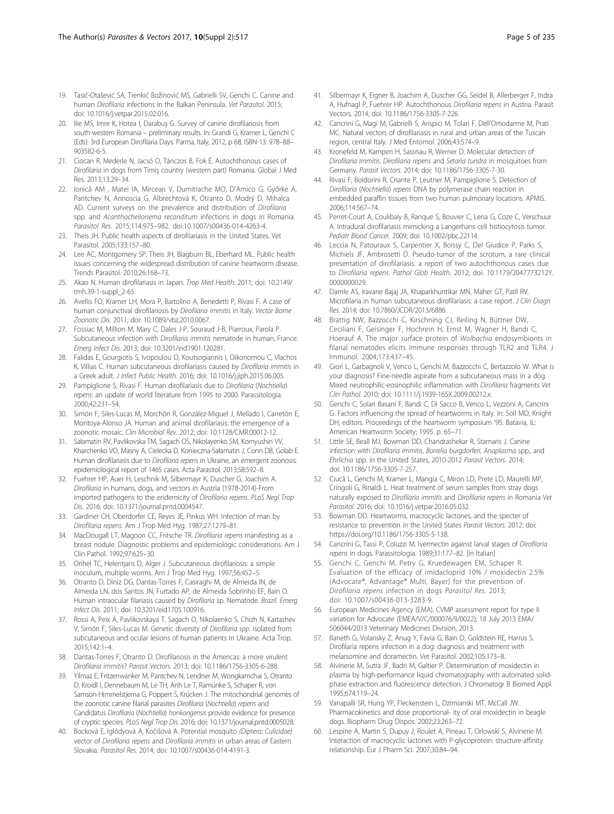- <span id="page-4-0"></span>19. Tasić-Otašević SA, Trenkić Božinović MS, Gabrielli SV, Genchi C. Canine and human Dirofilaria infections in the Balkan Peninsula. Vet Parasitol. 2015; doi: [10.1016/j.vetpar.2015.02.016](http://dx.doi.org/10.1016/j.vetpar.2015.02.016).
- 20. Ilie MS, Imre K, Hotea I, Darabuş G. Survey of canine dirofilariosis from south-western Romania – preliminary results. In: Grandi G, Kramer L, Genchi C (Eds): 3rd European Dirofilaria Days. Parma, Italy, 2012, p 68, ISBN-13: 978–88– 903582-6-5.
- 21. Ciocan R, Mederle N, Jacsó O, Tánczos B, Fok É. Autochthonous cases of Dirofilaria in dogs from Timiş country (western part) Romania. Global J Med Res. 2013;13:29–34.
- 22. Ionică AM , Matei IA, Mircean V, Dumitrache MO, D'Amico G, Győrke A, Pantchev N, Annoscia G, Albrechtová K, Otranto D, Modrý D, Mihalca AD. Current surveys on the prevalence and distribution of Dirofilaria spp. and Acanthocheilonema reconditum infections in dogs in Romania. Parasitol Res. 2015;114:975–982. doi[:10.1007/s00436-014-4263-4.](http://dx.doi.org/10.1007/s00436-014-4263-4)
- 23. Theis JH. Public health aspects of dirofilariasis in the United States. Vet Parasitol. 2005;133:157–80.
- 24. Lee AC, Montgomery SP, Theis JH, Blagburn BL, Eberhard ML. Public health issues concerning the widespread distribution of canine heartworm disease. Trends Parasitol. 2010;26:168–73.
- 25. Akao N. Human dirofilariasis in Japan. Trop Med Health. 2011; doi: [10.2149/](http://dx.doi.org/10.2149/tmh.39-1-suppl_2-65.) [tmh.39-1-suppl\\_2-65.](http://dx.doi.org/10.2149/tmh.39-1-suppl_2-65.)
- 26. Avellis FO, Kramer LH, Mora P, Bartolino A, Benedetti P, Rivasi F. A case of human conjunctival dirofilariosis by Dirofilaria immitis in Italy. Vector Borne Zoonotic Dis. 2011; doi: [10.1089/vbz.2010.0067.](http://dx.doi.org/10.1089/vbz.2010.0067.)
- 27. Fossiac M, Million M, Mary C, Dales J-P, Souraud J-B, Piarroux, Parola P. Subcutaneous infection with Dirofilaria immitis nematode in human, France. Emerg Infect Dis. 2013; doi: [10.3201/eid1901.120281.](http://dx.doi.org/10.3201/eid1901.120281.)
- 28. Falidas E, Gourgiotis S, Ivopoulou O, Koutsogiannis I, Oikonomou C, Vlachos K, Villias C. Human subcutaneous dirofilariasis caused by Dirofilaria immitis in a Greek adult. J Infect Public Health. 2016; doi: [10.1016/j.jiph.2015.06.005.](http://dx.doi.org/10.1016/j.jiph.2015.06.005.)
- 29. Pampiglione S, Rivasi F. Human dirofilariasis due to Dirofilaria (Nochtiella) repens: an update of world literature from 1995 to 2000. Parassitologia. 2000;42:231–54.
- 30. Simón F, Siles-Lucas M, Morchón R, González-Miguel J, Mellado I, Carretón E, Montoya-Alonso JA. Human and animal dirofilariasis: the emergence of a zoonotic mosaic. Clin Microbiol Rev. 2012; doi: [10.1128/CMR.00012-12.](http://dx.doi.org/10.1128/CMR.00012-12.)
- 31. Sałamatin RV, Pavlikovska TM, Sagach OS, Nikolayenko SM, Kornyushin VV, Kharchenko VO, Masny A, Cielecka D, Konieczna-Sałamatin J, Conn DB, Golab E. Human dirofilariasis due to Dirofilaria repens in Ukraine, an emergent zoonosis: epidemiological report of 1465 cases. Acta Parasitol. 2013;58:592–8.
- 32. Fuehrer HP, Auer H, Leschnik M, Silbermayr K, Duscher G, Joachim A. Dirofilaria in humans, dogs, and vectors in Austria (1978-2014)-From imported pathogens to the endemicity of Dirofilaria repens. PLoS Negl Trop Dis. 2016; doi: [10.1371/journal.pntd.0004547.](http://dx.doi.org/10.1371/journal.pntd.0004547.)
- 33. Gardiner CH, Oberdorfer CE, Reyes JE, Pinkus WH. Infection of man by Dirofilaria repens. Am J Trop Med Hyg. 1987;27:1279–81.
- 34. MacDougall LT, Magoon CC, Fritsche TR. Dirofilaria repens manifesting as a breast nodule. Diagnostic problems and epidemiologic considerations. Am J Clin Pathol. 1992;97:625–30.
- 35. Orihel TC, Helentjaris D, Alger J. Subcutaneous dirofilariosis: a simple inoculum, multiple worms. Am J Trop Med Hyg. 1997;56:452–5.
- 36. Otranto D, Diniz DG, Dantas-Torres F, Casiraghi M, de Almeida IN, de Almeida LN, dos Santos JN, Furtado AP, de Almeida Sobrinho EF, Bain O. Human intraocular filariasis caused by Dirofilaria sp. Nematode. Brazil. Emerg Infect Dis. 2011; doi: [10.3201/eid1705.100916.](http://dx.doi.org/10.3201/eid1705.100916.)
- 37. Rossi A, Peix Á, Pavlikovskaya T, Sagach O, Nikolaenko S, Chizh N, Kartashev V, Simón F, Siles-Lucas M. Genetic diversity of Dirofilaria spp. isolated from subcutaneous and ocular lesions of human patients in Ukraine. Acta Trop. 2015;142:1–4.
- 38. Dantas-Torres F, Otranto D. Dirofilariosis in the Americas: a more virulent Dirofilaria immitis? Parasit Vectors. 2013; doi: [10.1186/1756-3305-6-288.](http://dx.doi.org/10.1186/1756-3305-6-288.)
- 39. Yilmaz E, Fritzenwanker M, Pantchev N, Lendner M, Wongkamchai S, Otranto D, Kroidl I, Dennebaum M, Le TH, Anh Le T, Ramünke S, Schaper R, von Samson-Himmelstjerna G, Poppert S, Krücken J. The mitochondrial genomes of the zoonotic canine filarial parasites Dirofilaria (Nochtiella) repens and Candidatus Dirofilaria (Nochtiella) honkongensis provide evidence for presence of cryptic species. PLoS Negl Trop Dis. 2016; doi: [10.1371/journal.pntd.0005028.](http://dx.doi.org/10.1371/journal.pntd.0005028.)
- 40. Bocková E, Iglódyová A, Kočišová A. Potential mosquito (Diptera: Culicidae) vector of Dirofilaria repens and Dirofilaria immitis in urban areas of Eastern Slovakia. Parasitol Res. 2014; doi: [10.1007/s00436-014-4191-3.](http://dx.doi.org/10.1007/s00436-014-4191-3.)
- 41. Silbermayr K, Eigner B, Joachim A, Duscher GG, Seidel B, Allerberger F, Indra A, Hufnagl P, Fuehrer HP. Autochthonous Dirofilaria repens in Austria. Parasit Vectors. 2014; doi: [10.1186/1756-3305-7-226.](http://dx.doi.org/10.1186/1756-3305-7-226.)
- 42. Cancrini G, Magi M, Gabrielli S, Arispici M, Tolari F, Dell'Omodarme M, Prati MC. Natural vectors of dirofilariasis in rural and urban areas of the Tuscan region, central Italy. J Med Entomol. 2006;43:574–9.
- 43. Kronefeld M, Kampen H, Sassnau R, Werner D. Molecular detection of Dirofilaria immitis, Dirofilaria repens and Setaria tundra in mosquitoes from Germany. Parasit Vectors. 2014; doi: [10.1186/1756-3305-7-30.](http://dx.doi.org/10.1186/1756-3305-7-30.)
- 44. Rivasi F, Boldorini R, Criante P, Leutner M, Pampiglione S. Detection of Dirofilaria (Nochtiella) repens DNA by polymerase chain reaction in embedded paraffin tissues from two human pulmonary locations. APMIS. 2006;114:567–74.
- 45. Perret-Court A, Coulibaly B, Ranque S, Bouvier C, Lena G, Coze C, Verschuur A. Intradural dirofilariasis mimicking a Langerhans cell histiocytosis tumor. Pediatr Blood Cancer. 2009; doi: [10.1002/pbc.22114.](http://dx.doi.org/10.1002/pbc.22114.)
- 46. Leccia N, Patouraux S, Carpentier X, Boissy C, Del Giudice P, Parks S, Michiels JF, Ambrosetti D. Pseudo-tumor of the scrotum, a rare clinical presentation of dirofilariasis: a report of two autochthonous cases due to Dirofilaria repens. Pathol Glob Health. 2012; doi: [10.1179/2047773212Y.](http://dx.doi.org/10.1179/2047773212Y.0000000029.) [0000000029.](http://dx.doi.org/10.1179/2047773212Y.0000000029.)
- 47. Damle AS, Iravane Bajaj JA, Khaparkhuntikar MN, Maher GT, Patil RV. Microfilaria in human subcutaneous dirofilariasis: a case report. J Clin Diagn Res. 2014; doi: [10.7860/JCDR/2013/6886.](http://dx.doi.org/10.7860/JCDR/2013/6886.)
- 48. Brattig NW, Bazzocchi C, Kirschning CJ, Reiling N, Büttner DW, Ceciliani F, Geisinger F, Hochrein H, Ernst M, Wagner H, Bandi C, Hoerauf A. The major surface protein of Wolbachia endosymbionts in filarial nematodes elicits immune responses through TLR2 and TLR4. J Immunol. 2004;173:437–45.
- 49. Giori L, Garbagnoli V, Venco L, Genchi M, Bazzocchi C, Bertazzolo W. What is your diagnosis? Fine-needle aspirate from a subcutaneous mass in a dog. Mixed neutrophilic-eosinophilic inflammation with Dirofilaria fragments Vet Clin Pathol. 2010; doi: [10.1111/j.1939-165X.2009.00212.x.](http://dx.doi.org/10.1111/j.1939-165X.2009.00212.x.)
- 50. Genchi C, Solari Basani F, Bandi C, Di Sacco B, Venco L, Vezzoni A, Cancrini G. Factors influencing the spread of heartworms in Italy. In: Soll MD, Knight DH, editors. Proceedings of the heartworm symposium '95. Batavia, IL: American Heartworm Society; 1995. p. 65–71.
- 51. Little SE, Beall MJ, Bowman DD, Chandrashekar R, Stamaris J. Canine infection with Dirofilaria immitis, Borrelia burgdorferi, Anaplasma spp., and Ehrlichia spp. in the United States, 2010-2012 Parasit Vectors. 2014; doi: [10.1186/1756-3305-7-257.](http://dx.doi.org/10.1186/1756-3305-7-257.)
- 52. Ciucă L, Genchi M, Kramer L, Mangia C, Miron LD, Prete LD, Maurelli MP, Cringoli G, Rinaldi L. Heat treatment of serum samples from stray dogs naturally exposed to Dirofilaria immitis and Dirofilaria repens in Romania Vet Parasitol. 2016; doi: [10.1016/j.vetpar.2016.05.032.](http://dx.doi.org/10.1016/j.vetpar.2016.05.032.)
- 53. Bowman DD. Heartworms, macrocyclic lactones, and the specter of resistance to prevention in the United States Parasit Vectors. 2012; doi: [https://doi.org/10.1186/1756-3305-5-138.](http://dx.doi.org/10.1186/1756-3305-5-138.)
- 54. Cancrini G, Tassi P, Coluzzi M. Ivermectin against larval stages of Dirofilaria repens in dogs. Parassitologia. 1989;31:177–82. [in Italian]
- 55. Genchi C, Genchi M, Petry G, Kruedewagen EM, Schaper R. Evaluation of the efficacy of imidacloprid 10% / moxidectin 2.5% (Advocate®, Advantage® Multi, Bayer) for the prevention of Dirofilaria repens infection in dogs Parasitol Res. 2013; doi: [10.1007/s00436-013-3283-9.](http://dx.doi.org/10.1007/s00436-013-3283-9.)
- 56. European Medicines Agency (EMA). CVMP assessment report for type II variation for Advocate (EMEA/V/C/000076/II/0022); 18 July 2013 EMA/ 506044/2013 Veterinary Medicines Division, 2013.
- 57. Baneth G, Volansky Z, Anug Y, Favia G, Bain O, Goldstein RE, Harrus S. Dirofilaria repens infection in a dog: diagnosis and treatment with melarsomine and doramectin. Vet Parasitol. 2002;105:173–8.
- 58. Alvinerie M, Sutra JF, Badri M, Galtier P. Determination of moxidectin in plasma by high-performance liquid chromatography with automated solidphase extraction and fluorescence detection. J Chromatogr B Biomed Appl. 1995;674:119–24.
- 59. Vanapalli SR, Hung YP, Fleckenstein L, Dzimianski MT, McCall JW. Pharmacokinetics and dose proportional- ity of oral moxidectin in beagle dogs. Biopharm Drug Dispos. 2002;23:263–72.
- 60. Lespine A, Martin S, Dupuy J, Roulet A, Pineau T, Orlowski S, Alvinerie M. Interaction of macrocyclic lactones with P-glycoprotein: structure-affinity relationship. Eur J Pharm Sci. 2007;30:84–94.